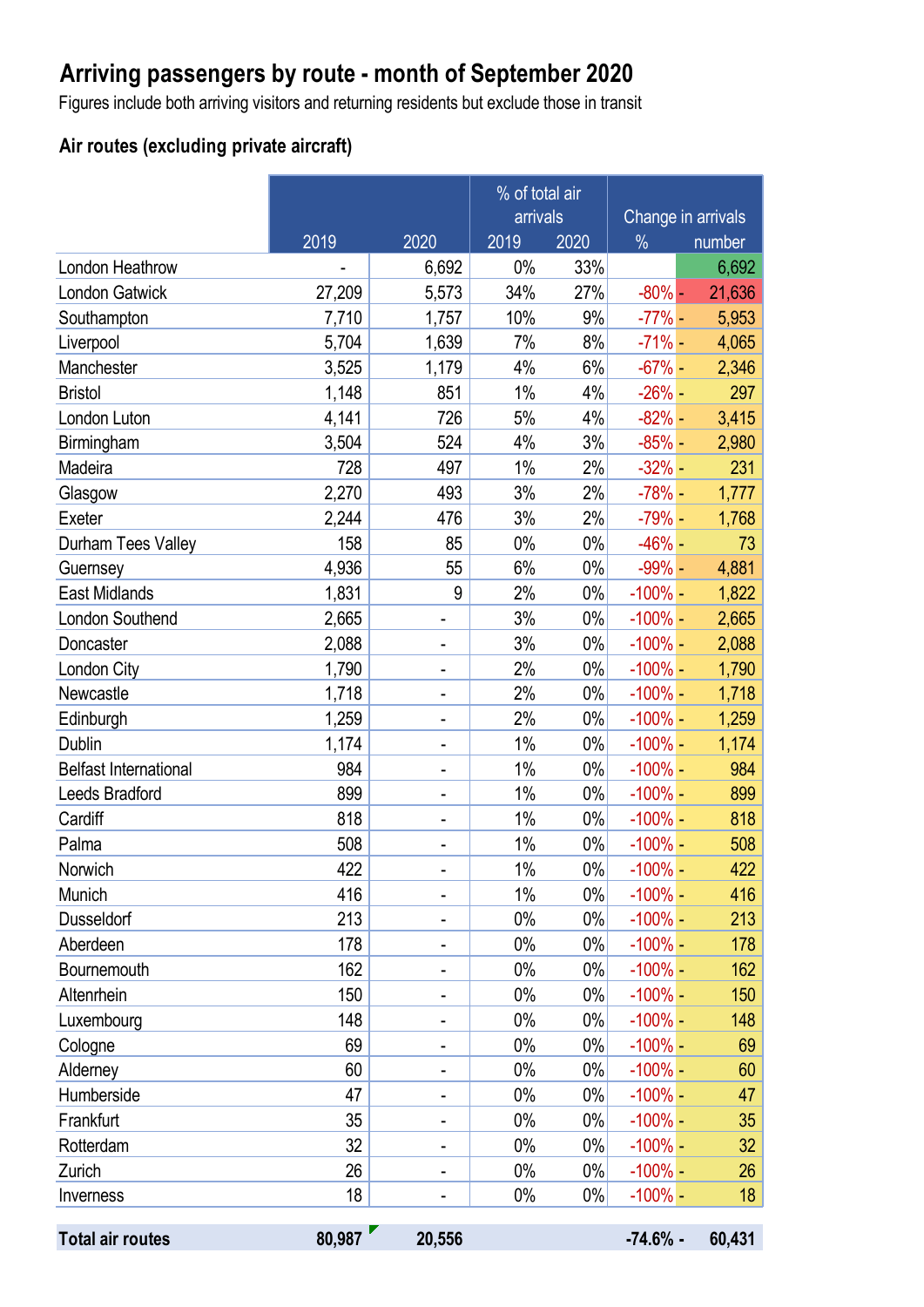## **Arriving passengers by route - month of September 2020**

Figures include both arriving visitors and returning residents but exclude those in transit

### **Air routes (excluding private aircraft)**

|                              |        |                          | % of total air |       |                    |                 |
|------------------------------|--------|--------------------------|----------------|-------|--------------------|-----------------|
|                              |        |                          | arrivals       |       | Change in arrivals |                 |
|                              | 2019   | 2020                     | 2019           | 2020  | $\frac{0}{0}$      | number          |
| London Heathrow              |        | 6,692                    | 0%             | 33%   |                    | 6,692           |
| <b>London Gatwick</b>        | 27,209 | 5,573                    | 34%            | 27%   | $-80\%$ -          | 21,636          |
| Southampton                  | 7,710  | 1,757                    | 10%            | 9%    | $-77% -$           | 5,953           |
| Liverpool                    | 5,704  | 1,639                    | 7%             | 8%    | $-71%$ -           | 4,065           |
| Manchester                   | 3,525  | 1,179                    | 4%             | 6%    | $-67% -$           | 2,346           |
| <b>Bristol</b>               | 1,148  | 851                      | 1%             | 4%    | $-26% -$           | 297             |
| London Luton                 | 4,141  | 726                      | 5%             | 4%    | $-82%$ -           | 3,415           |
| Birmingham                   | 3,504  | 524                      | 4%             | 3%    | $-85%$ -           | 2,980           |
| Madeira                      | 728    | 497                      | 1%             | 2%    | $-32%$ -           | 231             |
| Glasgow                      | 2,270  | 493                      | 3%             | 2%    | $-78%$ -           | 1,777           |
| Exeter                       | 2,244  | 476                      | 3%             | 2%    | $-79% -$           | 1,768           |
| Durham Tees Valley           | 158    | 85                       | 0%             | $0\%$ | $-46%$ -           | 73              |
| Guernsey                     | 4,936  | 55                       | 6%             | $0\%$ | $-99% -$           | 4,881           |
| <b>East Midlands</b>         | 1,831  | 9                        | 2%             | $0\%$ | $-100\%$ -         | 1,822           |
| London Southend              | 2,665  |                          | 3%             | $0\%$ | $-100\%$ -         | 2,665           |
| Doncaster                    | 2,088  | -                        | 3%             | $0\%$ | $-100\%$ –         | 2,088           |
| London City                  | 1,790  | -                        | 2%             | $0\%$ | $-100\%$ -         | 1,790           |
| Newcastle                    | 1,718  | $\overline{\phantom{0}}$ | 2%             | $0\%$ | $-100\%$ -         | 1,718           |
| Edinburgh                    | 1,259  | -                        | 2%             | $0\%$ | $-100\%$ -         | 1,259           |
| <b>Dublin</b>                | 1,174  | -                        | 1%             | 0%    | $-100\%$ -         | 1,174           |
| <b>Belfast International</b> | 984    | $\overline{\phantom{0}}$ | 1%             | $0\%$ | $-100\%$ -         | 984             |
| Leeds Bradford               | 899    | ۰                        | 1%             | $0\%$ | $-100\%$ -         | 899             |
| Cardiff                      | 818    | -                        | 1%             | $0\%$ | $-100\%$ -         | 818             |
| Palma                        | 508    |                          | $1\%$          | $0\%$ | $-100\%$ -         | 508             |
| Norwich                      | 422    |                          | $1\%$          | $0\%$ | $-100\%$ –         | 422             |
| Munich                       | 416    |                          | 1%             | $0\%$ | $-100\%$ –         | 416             |
| <b>Dusseldorf</b>            | 213    |                          | 0%             | 0%    | $-100\%$ -         | 213             |
| Aberdeen                     | 178    |                          | $0\%$          | $0\%$ | $-100\%$ -         | 178             |
| Bournemouth                  | 162    | -                        | $0\%$          | $0\%$ | $-100\%$ –         | 162             |
| Altenrhein                   | 150    |                          | 0%             | $0\%$ | $-100\%$ -         | 150             |
| Luxembourg                   | 148    |                          | $0\%$          | $0\%$ | $-100\%$ -         | 148             |
| Cologne                      | 69     | -                        | $0\%$          | $0\%$ | $-100\%$ –         | 69              |
| Alderney                     | 60     |                          | 0%             | $0\%$ | $-100\%$ -         | 60              |
| Humberside                   | 47     |                          | $0\%$          | $0\%$ | $-100\%$ -         | 47              |
| Frankfurt                    | 35     |                          | $0\%$          | $0\%$ | $-100\%$ -         | 35              |
| Rotterdam                    | 32     | -                        | $0\%$          | $0\%$ | $-100\%$ -         | 32 <sub>2</sub> |
| Zurich                       | 26     |                          | 0%             | $0\%$ | $-100\%$ -         | 26              |
| Inverness                    | 18     |                          | 0%             | $0\%$ | $-100\%$ -         | 18              |
| <b>Total air routes</b>      | 80,987 | 20,556                   |                |       | $-74.6%$ -         | 60,431          |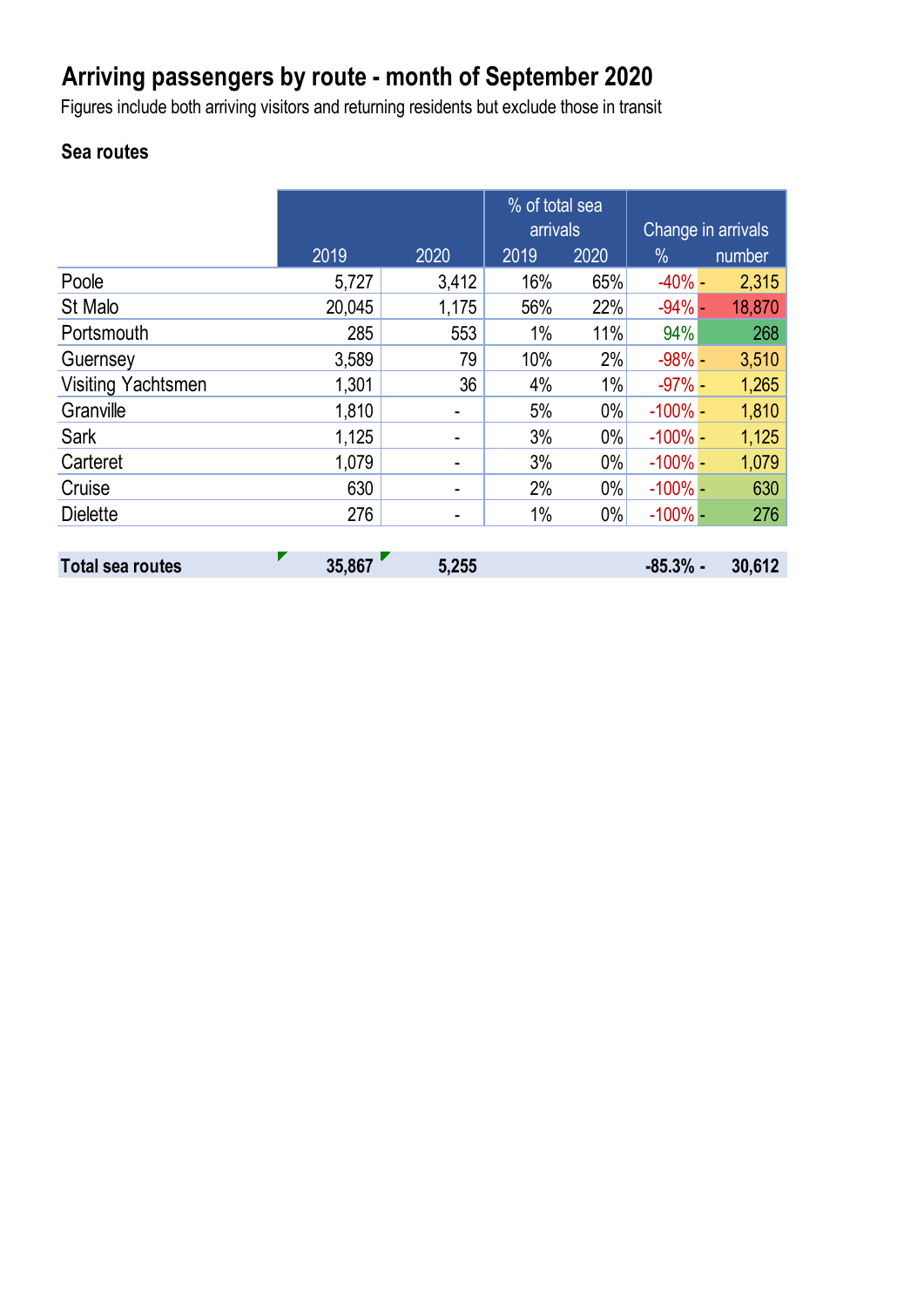# **Arriving passengers by route - month of September 2020**

Figures include both arriving visitors and returning residents but exclude those in transit

## **Sea routes**

|                           |        |       | % of total sea<br>arrivals |       | Change in arrivals |        |
|---------------------------|--------|-------|----------------------------|-------|--------------------|--------|
|                           | 2019   | 2020  | 2019                       | 2020  | $\%$               | number |
| Poole                     | 5,727  | 3,412 | 16%                        | 65%   | $-40% -$           | 2,315  |
| St Malo                   | 20,045 | 1,175 | 56%                        | 22%   | $-94%$ -           | 18,870 |
| Portsmouth                | 285    | 553   | 1%                         | 11%   | 94%                | 268    |
| Guernsey                  | 3,589  | 79    | 10%                        | 2%    | $-98%$ -           | 3,510  |
| <b>Visiting Yachtsmen</b> | 1,301  | 36    | 4%                         | 1%    | $-97%$ -           | 1,265  |
| Granville                 | 1,810  | ۰     | 5%                         | $0\%$ | $-100\%$ -         | 1,810  |
| Sark                      | 1,125  | ۰     | 3%                         | $0\%$ | $-100\%$ -         | 1,125  |
| Carteret                  | 1,079  |       | 3%                         | $0\%$ | $-100\%$ -         | 1,079  |
| Cruise                    | 630    | ۰     | 2%                         | $0\%$ | $-100\%$ -         | 630    |
| <b>Dielette</b>           | 276    | ۰     | 1%                         | $0\%$ | $-100\%$ -         | 276    |
|                           |        |       |                            |       |                    |        |
| <b>Total sea routes</b>   | 35,867 | 5,255 |                            |       | $-85.3%$ -         | 30,612 |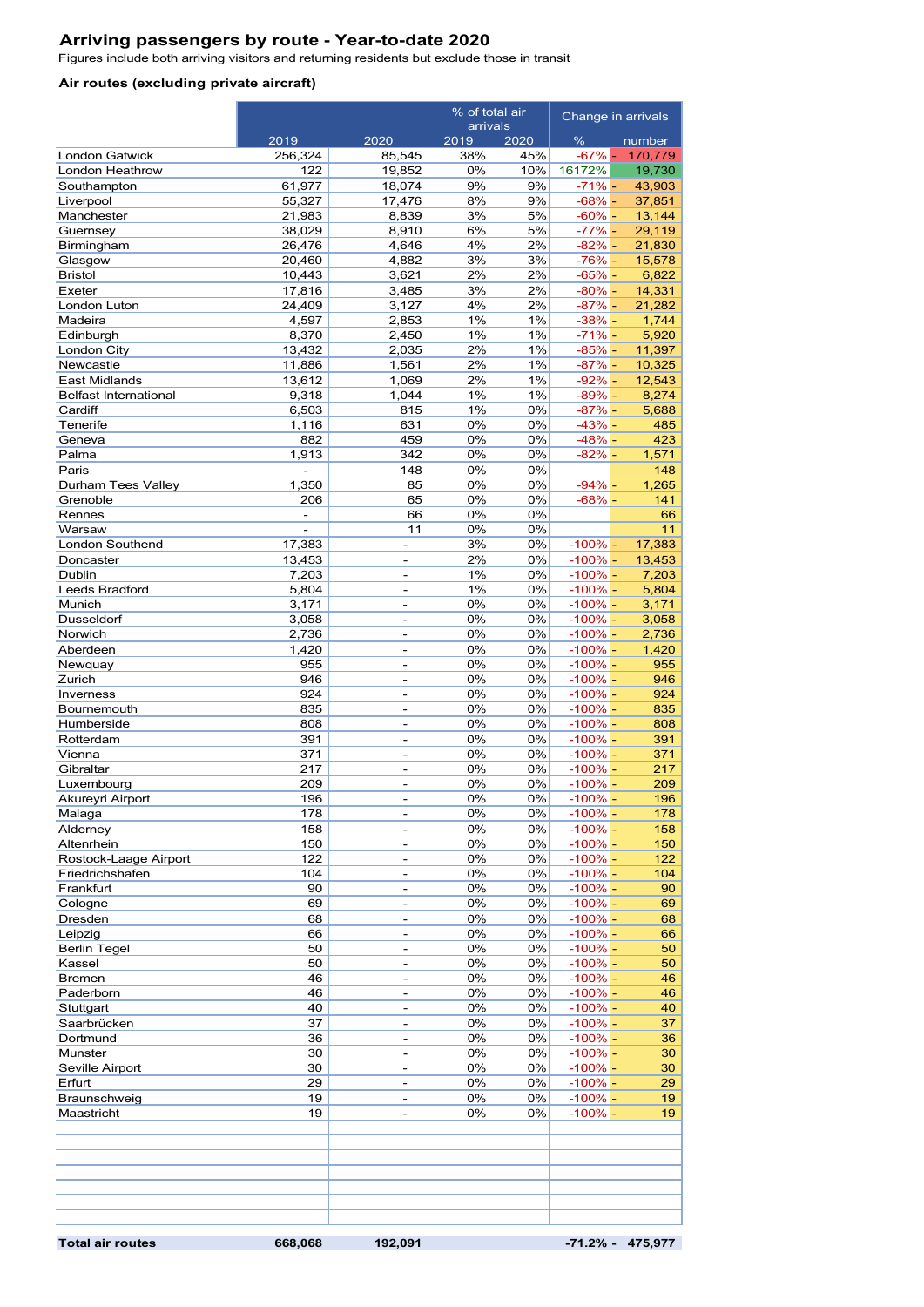#### **Arriving passengers by route - Year-to-date 2020**

Figures include both arriving visitors and returning residents but exclude those in transit

#### **Air routes (excluding private aircraft)**

|                                         |                                 |                                                      | % of total air |                          | Change in arrivals      |                     |
|-----------------------------------------|---------------------------------|------------------------------------------------------|----------------|--------------------------|-------------------------|---------------------|
|                                         | 2019<br>2020                    |                                                      |                | arrivals<br>2019<br>2020 |                         | number              |
| <b>London Gatwick</b>                   | 256,324                         | 85,545                                               | 38%            | 45%                      | %<br>$-67%$ -           | 170,779             |
| London Heathrow                         | 122                             | 19,852                                               | 0%             | 10%                      | 16172%                  | 19,730              |
| Southampton                             | 61,977                          | 18,074                                               | 9%             | 9%                       | $-71% -$                | 43,903              |
| Liverpool<br>Manchester                 | 55,327<br>21,983                | 17,476<br>8.839                                      | 8%<br>3%       | 9%<br>5%                 | $-68% -$<br>$-60\%$ -   | 37,851<br>13,144    |
| Guernsey                                | 38,029                          | 8,910                                                | 6%             | 5%                       | $-77% -$                | 29,119              |
| Birmingham                              | 26,476                          | 4,646                                                | 4%             | 2%                       | $-82% -$                | 21,830              |
| Glasgow                                 | 20,460                          | 4,882                                                | 3%             | 3%                       | $-76%$ -                | 15,578              |
| <b>Bristol</b>                          | 10,443                          | 3,621                                                | 2%             | 2%                       | $-65% -$                | 6,822               |
| Exeter<br>London Luton                  | 17,816<br>24,409                | 3,485<br>3,127                                       | 3%<br>4%       | 2%<br>2%                 | $-80% -$<br>$-87% -$    | 14,331<br>21,282    |
| Madeira                                 | 4,597                           | 2,853                                                | 1%             | 1%                       | $-38% -$                | 1,744               |
| Edinburgh                               | 8,370                           | 2,450                                                | 1%             | 1%                       | $-71% -$                | 5,920               |
| London City                             | 13,432                          | 2,035                                                | 2%             | 1%                       | $-85% -$                | 11,397              |
| Newcastle                               | 11,886                          | 1,561                                                | 2%             | 1%                       | $-87% -$                | 10,325              |
| <b>East Midlands</b>                    | 13,612                          | 1,069                                                | 2%             | 1%                       | $-92% -$                | 12,543              |
| <b>Belfast International</b><br>Cardiff | 9,318<br>6,503                  | 1,044<br>815                                         | 1%<br>1%       | 1%<br>0%                 | $-89% -$<br>$-87% -$    | 8,274<br>5,688      |
| Tenerife                                | 1,116                           | 631                                                  | 0%             | 0%                       | $-43% -$                | 485                 |
| Geneva                                  | 882                             | 459                                                  | 0%             | 0%                       | $-48% -$                | 423                 |
| Palma                                   | 1,913                           | 342                                                  | 0%             | 0%                       | $-82% -$                | 1,571               |
| Paris                                   |                                 | 148                                                  | 0%             | 0%                       |                         | 148                 |
| Durham Tees Valley                      | 1,350                           | 85                                                   | 0%             | 0%                       | $-94% -$                | 1,265               |
| Grenoble<br>Rennes                      | 206<br>$\overline{\phantom{a}}$ | 65<br>66                                             | 0%<br>0%       | 0%<br>0%                 | $-68% -$                | 141<br>66           |
| Warsaw                                  | $\overline{a}$                  | 11                                                   | 0%             | 0%                       |                         | 11                  |
| London Southend                         | 17,383                          | $\bar{a}$                                            | 3%             | 0%                       | $-100\%$ -              | 17,383              |
| Doncaster                               | 13,453                          | ÷.                                                   | 2%             | 0%                       | $-100%$ -               | 13,453              |
| Dublin                                  | 7,203                           | $\overline{\phantom{m}}$                             | 1%             | 0%                       | $-100\%$ -              | 7,203               |
| Leeds Bradford                          | 5,804                           | $\overline{\phantom{a}}$                             | 1%             | 0%                       | $-100\%$ -              | 5,804               |
| Munich<br><b>Dusseldorf</b>             | 3,171<br>3,058                  | ٠<br>$\overline{\phantom{a}}$                        | 0%<br>0%       | 0%<br>0%                 | $-100%$ -<br>$-100\%$ – | 3,171<br>3,058      |
| Norwich                                 | 2,736                           | $\overline{a}$                                       | 0%             | 0%                       | $-100\%$ –              | 2,736               |
| Aberdeen                                | 1,420                           |                                                      | 0%             | 0%                       | $-100\%$ –              | 1,420               |
| Newquay                                 | 955                             | $\overline{\phantom{a}}$                             | 0%             | 0%                       | $-100\% -$              | 955                 |
| Zurich                                  | 946                             | $\overline{\phantom{a}}$                             | 0%             | 0%                       | $-100\%$ –              | 946                 |
| Inverness                               | 924                             | $\overline{\phantom{a}}$<br>÷.                       | 0%             | 0%                       | $-100% -$               | 924                 |
| Bournemouth<br>Humberside               | 835<br>808                      |                                                      | 0%<br>0%       | 0%<br>0%                 | $-100%$ -<br>$-100% -$  | 835<br>808          |
| Rotterdam                               | 391                             | $\overline{\phantom{a}}$                             | 0%             | 0%                       | $-100\%$ –              | 391                 |
| Vienna                                  | 371                             | $\qquad \qquad \blacksquare$                         | 0%             | 0%                       | $-100% -$               | 371                 |
| Gibraltar                               | 217                             | $\overline{\phantom{a}}$                             | 0%             | 0%                       | $-100\%$ –              | 217                 |
| Luxembourg                              | 209                             | ÷.                                                   | 0%             | 0%                       | $-100\%$ -              | 209                 |
| Akureyri Airport<br>Malaga              | 196<br>178                      | $\overline{\phantom{a}}$                             | $0\%$<br>0%    | $0\%$<br>0%              | $-100%$ -<br>$-100\%$ – | 196<br>178          |
| Alderney                                | 158                             | ä,                                                   | 0%             | 0%                       | $-100% -$               | 158                 |
| Altenrhein                              | 150                             | $\overline{\phantom{a}}$                             | 0%             | 0%                       | $-100%$ -               | 150                 |
| Rostock-Laage Airport                   | 122                             | $\overline{\phantom{a}}$                             | 0%             | 0%                       | $-100% -$               | 122                 |
| Friedrichshafen                         | 104                             | $\overline{\phantom{a}}$                             | 0%             | 0%                       | $-100%$ -               | 104                 |
| Frankfurt                               | 90                              | $\overline{\phantom{a}}$                             | 0%             | 0%                       | $-100% -$               | 90                  |
| Cologne<br>Dresden                      | 69<br>68                        | $\sim$<br>$\bar{a}$                                  | 0%<br>0%       | 0%<br>0%                 | $-100%$ -<br>$-100\%$ - | 69<br>68            |
| Leipzig                                 | 66                              | $\overline{\phantom{a}}$                             | 0%             | 0%                       | $-100% -$               | 66                  |
| <b>Berlin Tegel</b>                     | 50                              | $\overline{\phantom{a}}$                             | 0%             | 0%                       | $-100%$ -               | 50                  |
| Kassel                                  | 50                              | $\overline{\phantom{a}}$                             | 0%             | 0%                       | $-100\%$ -              | 50                  |
| <b>Bremen</b>                           | 46                              | $\overline{\phantom{a}}$                             | 0%             | 0%                       | $-100% -$               | 46                  |
| Paderborn                               | 46<br>40                        | $\overline{\phantom{a}}$<br>$\overline{\phantom{m}}$ | 0%<br>0%       | 0%<br>0%                 | $-100%$ -<br>$-100% -$  | 46                  |
| Stuttgart<br>Saarbrücken                | 37                              | ٠                                                    | 0%             | 0%                       | $-100\%$ -              | 40<br>37            |
| Dortmund                                | 36                              | $\overline{\phantom{a}}$                             | 0%             | 0%                       | $-100% -$               | 36                  |
| Munster                                 | 30                              | $\overline{\phantom{a}}$                             | 0%             | 0%                       | $-100% -$               | 30                  |
| Seville Airport                         | 30                              | ÷                                                    | 0%             | 0%                       | $-100\%$ –              | 30                  |
| Erfurt                                  | 29                              | $\overline{\phantom{a}}$                             | 0%             | 0%                       | $-100% -$               | 29                  |
| Braunschweig<br>Maastricht              | 19<br>19                        | $\overline{\phantom{a}}$<br>$\overline{\phantom{a}}$ | 0%<br>0%       | 0%<br>0%                 | $-100%$ -<br>$-100\%$ – | 19<br>19            |
|                                         |                                 |                                                      |                |                          |                         |                     |
|                                         |                                 |                                                      |                |                          |                         |                     |
| <b>Total air routes</b>                 | 668,068                         | 192,091                                              |                |                          |                         | $-71.2\% - 475.977$ |